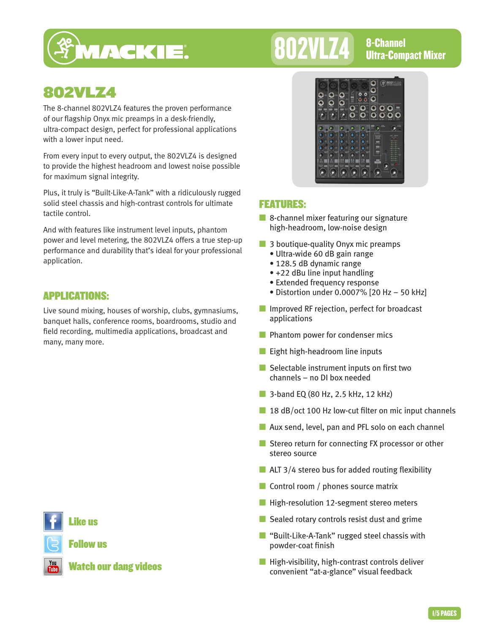

# 802VLZ4 8-Channel

## 802VLZ4

The 8-channel 802VLZ4 features the proven performance of our flagship Onyx mic preamps in a desk-friendly, ultra-compact design, perfect for professional applications with a lower input need.

From every input to every output, the 802VLZ4 is designed to provide the highest headroom and lowest noise possible for maximum signal integrity.

Plus, it truly is "Built-Like-A-Tank" with a ridiculously rugged solid steel chassis and high-contrast controls for ultimate tactile control.

And with features like instrument level inputs, phantom power and level metering, the 802VLZ4 offers a true step-up performance and durability that's ideal for your professional application.

## APPLICATIONS:

Live sound mixing, houses of worship, clubs, gymnasiums, banquet halls, conference rooms, boardrooms, studio and field recording, multimedia applications, broadcast and many, many more.



## Like us

Follow us



Watch our dang videos



## FEATURES:

- 8-channel mixer featuring our signature high-headroom, low-noise design
- 3 boutique-quality Onyx mic preamps
	- Ultra-wide 60 dB gain range
	- 128.5 dB dynamic range
	- +22 dBu line input handling
	- Extended frequency response
	- Distortion under 0.0007% [20 Hz 50 kHz]
- Improved RF rejection, perfect for broadcast applications
- Phantom power for condenser mics
- Eight high-headroom line inputs
- Selectable instrument inputs on first two channels – no DI box needed
- 3-band EQ (80 Hz, 2.5 kHz, 12 kHz)
- 18 dB/oct 100 Hz low-cut filter on mic input channels
- Aux send, level, pan and PFL solo on each channel
- Stereo return for connecting FX processor or other stereo source
- $\blacksquare$  ALT 3/4 stereo bus for added routing flexibility
- Control room / phones source matrix
- High-resolution 12-segment stereo meters
- Sealed rotary controls resist dust and grime
- "Built-Like-A-Tank" rugged steel chassis with powder-coat finish
- High-visibility, high-contrast controls deliver convenient "at-a-glance" visual feedback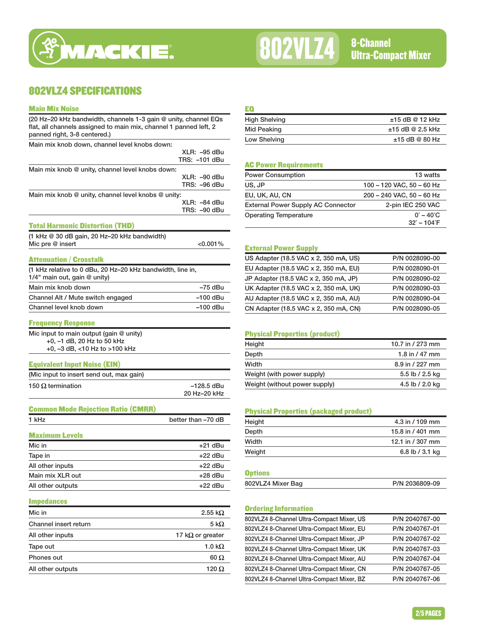

# 802VLZ4 8-Channel<br>Ultra-Compact Mixer

## 802VLZ4 SPECIFICATIONS

#### Main Mix Noise

| Main Mix Noise                                                                                                                                                       |                            |
|----------------------------------------------------------------------------------------------------------------------------------------------------------------------|----------------------------|
| (20 Hz-20 kHz bandwidth, channels 1-3 gain @ unity, channel EQs<br>flat, all channels assigned to main mix, channel 1 panned left, 2<br>panned right, 3-8 centered.) |                            |
| Main mix knob down, channel level knobs down:                                                                                                                        |                            |
|                                                                                                                                                                      | XLR: –95 dBu               |
|                                                                                                                                                                      | TRS: –101 dBu              |
| Main mix knob @ unity, channel level knobs down:                                                                                                                     |                            |
|                                                                                                                                                                      | XLR: –90 dBu               |
|                                                                                                                                                                      | TRS: -96 dBu               |
| Main mix knob @ unity, channel level knobs @ unity:                                                                                                                  | XLR: –84 dBu               |
|                                                                                                                                                                      | TRS: -90 dBu               |
|                                                                                                                                                                      |                            |
| <b>Total Harmonic Distortion (THD)</b>                                                                                                                               |                            |
| (1 kHz @ 30 dB gain, 20 Hz-20 kHz bandwidth)                                                                                                                         |                            |
| Mic pre @ insert                                                                                                                                                     | $<$ 0.001%                 |
| Attenuation / Crosstalk                                                                                                                                              |                            |
| (1 kHz relative to 0 dBu, 20 Hz-20 kHz bandwidth, line in,                                                                                                           |                            |
| 1/4" main out, gain @ unity)                                                                                                                                         |                            |
| Main mix knob down                                                                                                                                                   | -75 dBu                    |
| Channel Alt / Mute switch engaged                                                                                                                                    | –100 dBu                   |
| Channel level knob down                                                                                                                                              | –100 dBu                   |
|                                                                                                                                                                      |                            |
| <b>Frequency Response</b>                                                                                                                                            |                            |
| Mic input to main output (gain @ unity)                                                                                                                              |                            |
| +0, -1 dB, 20 Hz to 50 kHz                                                                                                                                           |                            |
| +0, -3 dB, <10 Hz to >100 kHz                                                                                                                                        |                            |
| <b>Equivalent Input Noise (EIN)</b>                                                                                                                                  |                            |
| (Mic input to insert send out, max gain)                                                                                                                             |                            |
|                                                                                                                                                                      |                            |
| 150 $\Omega$ termination                                                                                                                                             | –128.5 dBu<br>20 Hz-20 kHz |
|                                                                                                                                                                      |                            |
| <b>Common Mode Rejection Ratio (CMRR)</b>                                                                                                                            |                            |
| 1 kHz                                                                                                                                                                | better than -70 dB         |
|                                                                                                                                                                      |                            |
| <b>Maximum Levels</b>                                                                                                                                                |                            |
| Mic in                                                                                                                                                               | $+21$ dBu                  |
| Tape in                                                                                                                                                              | +22 dBu                    |
| All other inputs                                                                                                                                                     | +22 dBu                    |
| Main mix XLR out                                                                                                                                                     | +28 dBu                    |
| All other outputs                                                                                                                                                    | +22 dBu                    |
|                                                                                                                                                                      |                            |
| <b>Impedances</b>                                                                                                                                                    |                            |
| Mic in                                                                                                                                                               | 2.55 k $\Omega$            |
| Channel insert return                                                                                                                                                | 5 kΩ                       |
| All other inputs                                                                                                                                                     | 17 k $\Omega$ or greater   |
| Tape out                                                                                                                                                             | 1.0 k $\Omega$             |
| Phones out                                                                                                                                                           | 60 Ω                       |
|                                                                                                                                                                      |                            |

All other outputs  $120 \Omega$ 

#### EQ

| <b>High Shelving</b> | $±15$ dB @ 12 kHz  |
|----------------------|--------------------|
| Mid Peaking          | $±15$ dB @ 2.5 kHz |
| Low Shelving         | $±15$ dB @ 80 Hz   |
|                      |                    |

#### AC Power Requirements

| <b>Power Consumption</b>                  | 13 watts                   |
|-------------------------------------------|----------------------------|
| US, JP                                    | 100 - 120 VAC, 50 - 60 Hz  |
| EU, UK, AU, CN                            | 200 - 240 VAC, 50 - 60 Hz  |
| <b>External Power Supply AC Connector</b> | 2-pin IEC 250 VAC          |
| <b>Operating Temperature</b>              | $0^{\circ} - 40^{\circ}$ C |
|                                           | $32^\circ - 104^\circ F$   |

#### External Power Supply

| US Adapter (18.5 VAC x 2, 350 mA, US) | P/N 0028090-00 |
|---------------------------------------|----------------|
| EU Adapter (18.5 VAC x 2, 350 mA, EU) | P/N 0028090-01 |
| JP Adapter (18.5 VAC x 2, 350 mA, JP) | P/N 0028090-02 |
| UK Adapter (18.5 VAC x 2, 350 mA, UK) | P/N 0028090-03 |
| AU Adapter (18.5 VAC x 2, 350 mA, AU) | P/N 0028090-04 |
| CN Adapter (18.5 VAC x 2, 350 mA, CN) | P/N 0028090-05 |

#### Physical Properties (product)

| Height                        | 10.7 in / 273 mm |
|-------------------------------|------------------|
| Depth                         | 1.8 in $/$ 47 mm |
| Width                         | 8.9 in / 227 mm  |
| Weight (with power supply)    | 5.5 lb / 2.5 kg  |
| Weight (without power supply) | 4.5 lb / 2.0 kg  |

#### Physical Properties (packaged product)

| 15.8 in / 401 mm |
|------------------|
|                  |
| 12.1 in / 307 mm |
| 6.8 lb / 3.1 kg  |
|                  |

#### **Options**

| 802VLZ4 Mixer Bag | P/N 2036809-09 |
|-------------------|----------------|

#### Ordering Information

| 802VLZ4 8-Channel Ultra-Compact Mixer, US | P/N 2040767-00 |
|-------------------------------------------|----------------|
| 802VLZ4 8-Channel Ultra-Compact Mixer, EU | P/N 2040767-01 |
| 802VLZ4 8-Channel Ultra-Compact Mixer, JP | P/N 2040767-02 |
| 802VLZ4 8-Channel Ultra-Compact Mixer, UK | P/N 2040767-03 |
| 802VLZ4 8-Channel Ultra-Compact Mixer, AU | P/N 2040767-04 |
| 802VLZ4 8-Channel Ultra-Compact Mixer, CN | P/N 2040767-05 |
| 802VLZ4 8-Channel Ultra-Compact Mixer, BZ | P/N 2040767-06 |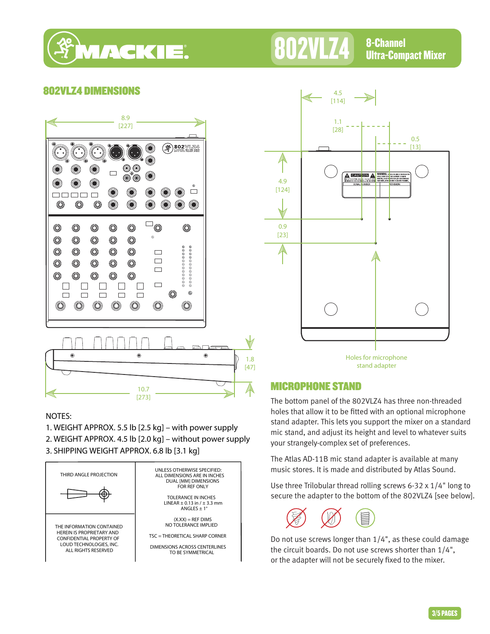

## **802VLZ4** 8-Channel Ultra-Compact Mixer

### 802VLZ4 DIMENSIONS



#### NOTES:

1. WEIGHT APPROX. 5.5 lb [2.5 kg] – with power supply 2. WEIGHT APPROX. 4.5 lb [2.0 kg] – without power supply 3. SHIPPING WEIGHT APPROX. 6.8 lb [3.1 kg]





Holes for microphone stand adapter

### MICROPHONE STAND

The bottom panel of the 802VLZ4 has three non-threaded holes that allow it to be fitted with an optional microphone stand adapter. This lets you support the mixer on a standard mic stand, and adjust its height and level to whatever suits your strangely-complex set of preferences.

The Atlas AD-11B mic stand adapter is available at many music stores. It is made and distributed by Atlas Sound.

Use three Trilobular thread rolling screws 6-32 x 1/4" long to secure the adapter to the bottom of the 802VLZ4 [see below].



Do not use screws longer than 1/4", as these could damage the circuit boards. Do not use screws shorter than 1/4", or the adapter will not be securely fixed to the mixer.

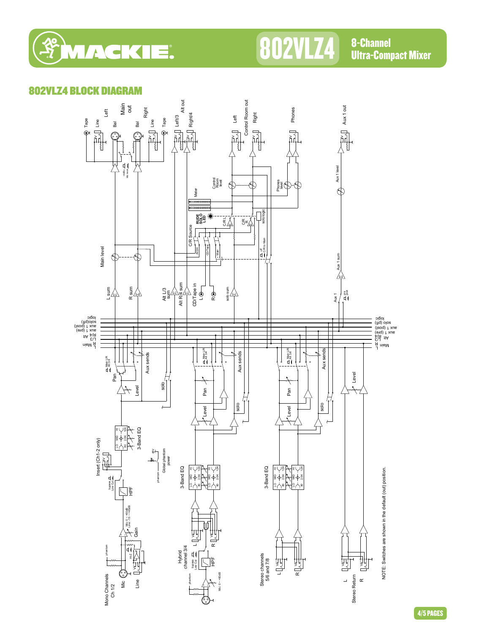

## 802VLZ4 8-Channel

Ultra-Compact Mixer

### 802VLZ4 BLOCK DIAGRAM



4/5 PAGES